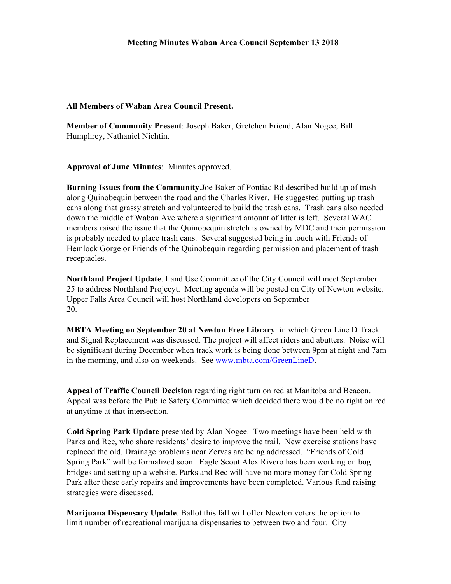## **All Members of Waban Area Council Present.**

**Member of Community Present**: Joseph Baker, Gretchen Friend, Alan Nogee, Bill Humphrey, Nathaniel Nichtin.

**Approval of June Minutes**: Minutes approved.

**Burning Issues from the Community**.Joe Baker of Pontiac Rd described build up of trash along Quinobequin between the road and the Charles River. He suggested putting up trash cans along that grassy stretch and volunteered to build the trash cans. Trash cans also needed down the middle of Waban Ave where a significant amount of litter is left. Several WAC members raised the issue that the Quinobequin stretch is owned by MDC and their permission is probably needed to place trash cans. Several suggested being in touch with Friends of Hemlock Gorge or Friends of the Quinobequin regarding permission and placement of trash receptacles.

**Northland Project Update**. Land Use Committee of the City Council will meet September 25 to address Northland Projecyt. Meeting agenda will be posted on City of Newton website. Upper Falls Area Council will host Northland developers on September 20.

**MBTA Meeting on September 20 at Newton Free Library**: in which Green Line D Track and Signal Replacement was discussed. The project will affect riders and abutters. Noise will be significant during December when track work is being done between 9pm at night and 7am in the morning, and also on weekends. See www.mbta.com/GreenLineD.

**Appeal of Traffic Council Decision** regarding right turn on red at Manitoba and Beacon. Appeal was before the Public Safety Committee which decided there would be no right on red at anytime at that intersection.

**Cold Spring Park Update** presented by Alan Nogee. Two meetings have been held with Parks and Rec, who share residents' desire to improve the trail. New exercise stations have replaced the old. Drainage problems near Zervas are being addressed. "Friends of Cold Spring Park" will be formalized soon. Eagle Scout Alex Rivero has been working on bog bridges and setting up a website. Parks and Rec will have no more money for Cold Spring Park after these early repairs and improvements have been completed. Various fund raising strategies were discussed.

**Marijuana Dispensary Update**. Ballot this fall will offer Newton voters the option to limit number of recreational marijuana dispensaries to between two and four. City